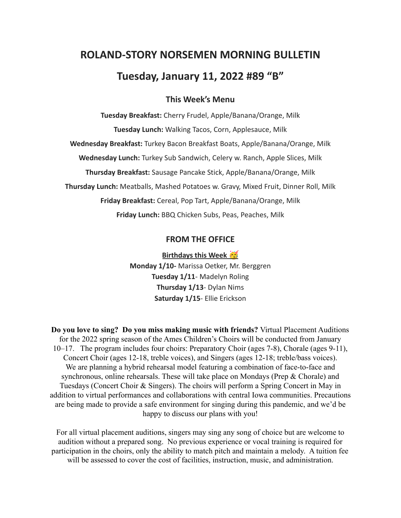# **ROLAND-STORY NORSEMEN MORNING BULLETIN**

# **Tuesday, January 11, 2022 #89 "B"**

# **This Week's Menu**

**Tuesday Breakfast:** Cherry Frudel, Apple/Banana/Orange, Milk **Tuesday Lunch:** Walking Tacos, Corn, Applesauce, Milk **Wednesday Breakfast:** Turkey Bacon Breakfast Boats, Apple/Banana/Orange, Milk **Wednesday Lunch:** Turkey Sub Sandwich, Celery w. Ranch, Apple Slices, Milk **Thursday Breakfast:** Sausage Pancake Stick, Apple/Banana/Orange, Milk **Thursday Lunch:** Meatballs, Mashed Potatoes w. Gravy, Mixed Fruit, Dinner Roll, Milk **Friday Breakfast:** Cereal, Pop Tart, Apple/Banana/Orange, Milk **Friday Lunch:** BBQ Chicken Subs, Peas, Peaches, Milk

# **FROM THE OFFICE**

**Birthdays this Week Monday 1/10-** Marissa Oetker, Mr. Berggren **Tuesday 1/11**- Madelyn Roling **Thursday 1/13**- Dylan Nims **Saturday 1/15**- Ellie Erickson

**Do you love to sing? Do you miss making music with friends?** Virtual Placement Auditions for the 2022 spring season of the Ames Children's Choirs will be conducted from January 10–17. The program includes four choirs: Preparatory Choir (ages 7-8), Chorale (ages 9-11), Concert Choir (ages 12-18, treble voices), and Singers (ages 12-18; treble/bass voices). We are planning a hybrid rehearsal model featuring a combination of face-to-face and synchronous, online rehearsals. These will take place on Mondays (Prep & Chorale) and Tuesdays (Concert Choir & Singers). The choirs will perform a Spring Concert in May in addition to virtual performances and collaborations with central Iowa communities. Precautions are being made to provide a safe environment for singing during this pandemic, and we'd be happy to discuss our plans with you!

For all virtual placement auditions, singers may sing any song of choice but are welcome to audition without a prepared song. No previous experience or vocal training is required for participation in the choirs, only the ability to match pitch and maintain a melody. A tuition fee will be assessed to cover the cost of facilities, instruction, music, and administration.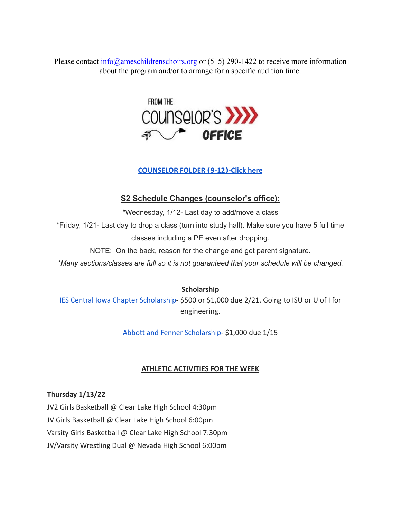Please contact [info@ameschildrenschoirs.org](mailto:info@ameschildresnchoirs.org) or (515) 290-1422 to receive more information about the program and/or to arrange for a specific audition time.



#### **[COUNSELOR FOLDER](https://docs.google.com/document/d/1vmwczNPbDzXe9vFaG5LJMQ7NYDv-i4oQJHybqA65TUc/edit?usp=sharing) (9-12)-Click here**

# **S2 Schedule Changes (counselor's office):**

\*Wednesday, 1/12- Last day to add/move a class \*Friday, 1/21- Last day to drop a class (turn into study hall). Make sure you have 5 full time classes including a PE even after dropping.

NOTE: On the back, reason for the change and get parent signature.

*\*Many sections/classes are full so it is not guaranteed that your schedule will be changed.*

**Scholarship**

[IES Central Iowa Chapter Scholarship](https://drive.google.com/file/d/1TOCO584mY9ObCqCNa6kBs_Yjrn4wPSdj/view?usp=sharing)- \$500 or \$1,000 due 2/21. Going to ISU or U of I for engineering.

[Abbott and Fenner Scholarship-](https://abbottandfenner.com/scholarships.php) \$1,000 due 1/15

# **ATHLETIC ACTIVITIES FOR THE WEEK**

# **Thursday 1/13/22**

JV2 Girls Basketball @ Clear Lake High School 4:30pm JV Girls Basketball @ Clear Lake High School 6:00pm Varsity Girls Basketball @ Clear Lake High School 7:30pm JV/Varsity Wrestling Dual @ Nevada High School 6:00pm